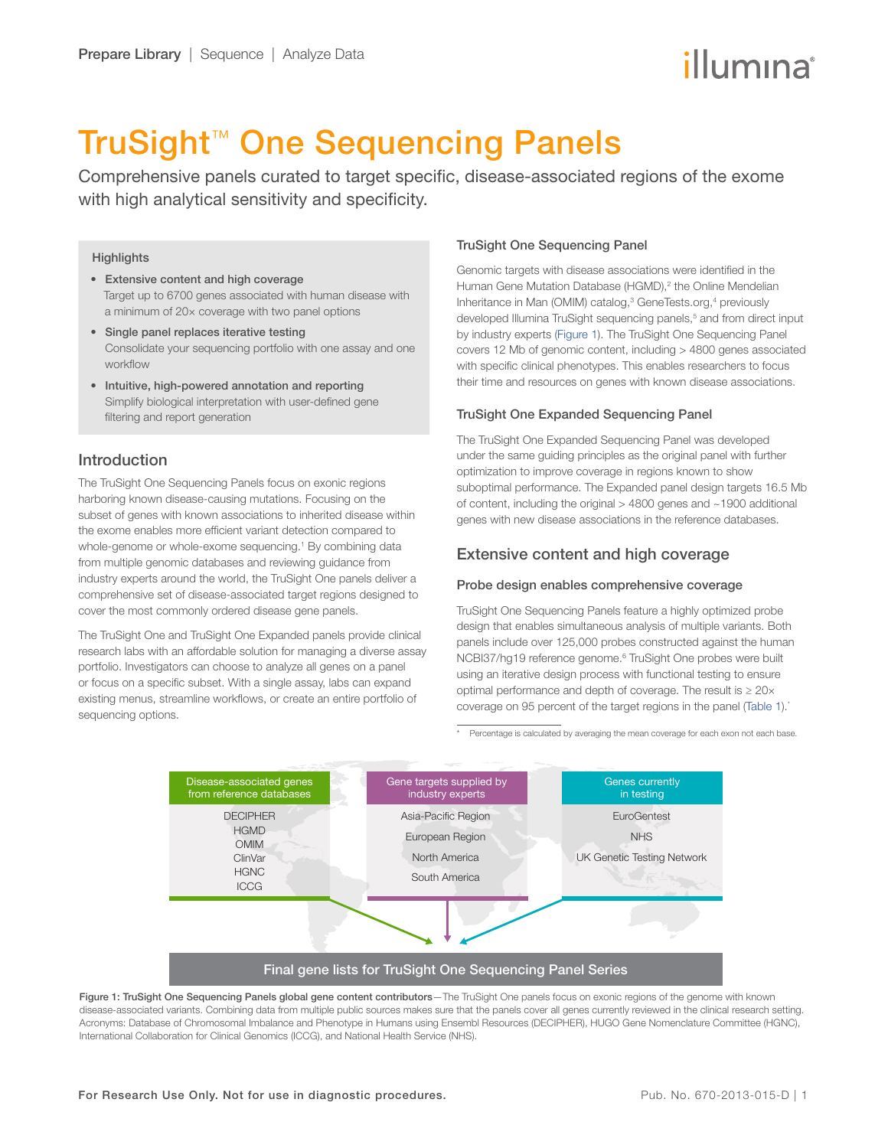# illumına

## TruSight™ One Sequencing Panels

Comprehensive panels curated to target specific, disease-associated regions of the exome with high analytical sensitivity and specificity.

#### **Highlights**

- Extensive content and high coverage Target up to 6700 genes associated with human disease with a minimum of 20× coverage with two panel options
- Single panel replaces iterative testing Consolidate your sequencing portfolio with one assay and one workflow
- Intuitive, high-powered annotation and reporting Simplify biological interpretation with user-defined gene filtering and report generation

## Introduction

The TruSight One Sequencing Panels focus on exonic regions harboring known disease-causing mutations. Focusing on the subset of genes with known associations to inherited disease within the exome enables more efficient variant detection compared to whole-genome or whole-exome sequencing.<sup>[1](#page-3-0)</sup> By combining data from multiple genomic databases and reviewing guidance from industry experts around the world, the TruSight One panels deliver a comprehensive set of disease-associated target regions designed to cover the most commonly ordered disease gene panels.

The TruSight One and TruSight One Expanded panels provide clinical research labs with an affordable solution for managing a diverse assay portfolio. Investigators can choose to analyze all genes on a panel or focus on a specific subset. With a single assay, labs can expand existing menus, streamline workflows, or create an entire portfolio of sequencing options.

### TruSight One Sequencing Panel

Genomic targets with disease associations were identified in the Human Gene Mutation Database (HGMD),<sup>2</sup> the Online Mendelian Inheritance in Man (OMIM) catalog,<sup>[3](#page-3-2)</sup> GeneTests.org,<sup>[4](#page-3-3)</sup> previously developed Illumina TruSight sequencing panels,<sup>[5](#page-3-4)</sup> and from direct input by industry experts (Figure 1). The TruSight One Sequencing Panel covers 12 Mb of genomic content, including > 4800 genes associated with specific clinical phenotypes. This enables researchers to focus their time and resources on genes with known disease associations.

## TruSight One Expanded Sequencing Panel

The TruSight One Expanded Sequencing Panel was developed under the same guiding principles as the original panel with further optimization to improve coverage in regions known to show suboptimal performance. The Expanded panel design targets 16.5 Mb of content, including the original > 4800 genes and ~1900 additional genes with new disease associations in the reference databases.

## Extensive content and high coverage

#### Probe design enables comprehensive coverage

TruSight One Sequencing Panels feature a highly optimized probe design that enables simultaneous analysis of multiple variants. Both panels include over 125,000 probes constructed against the human NCBI37/hg19 reference genome.<sup>6</sup> TruSight One probes were built using an iterative design process with functional testing to ensure optimal performance and depth of coverage. The result is  $\geq 20 \times$ coverage on 95 percent of the target regions in the panel ([Table 1](#page-1-0)).\*

\* Percentage is calculated by averaging the mean coverage for each exon not each base.



Figure 1: TruSight One Sequencing Panels global gene content contributors-The TruSight One panels focus on exonic regions of the genome with known disease-associated variants. Combining data from multiple public sources makes sure that the panels cover all genes currently reviewed in the clinical research setting. Acronyms: Database of Chromosomal Imbalance and Phenotype in Humans using Ensembl Resources (DECIPHER), HUGO Gene Nomenclature Committee (HGNC), International Collaboration for Clinical Genomics (ICCG), and National Health Service (NHS).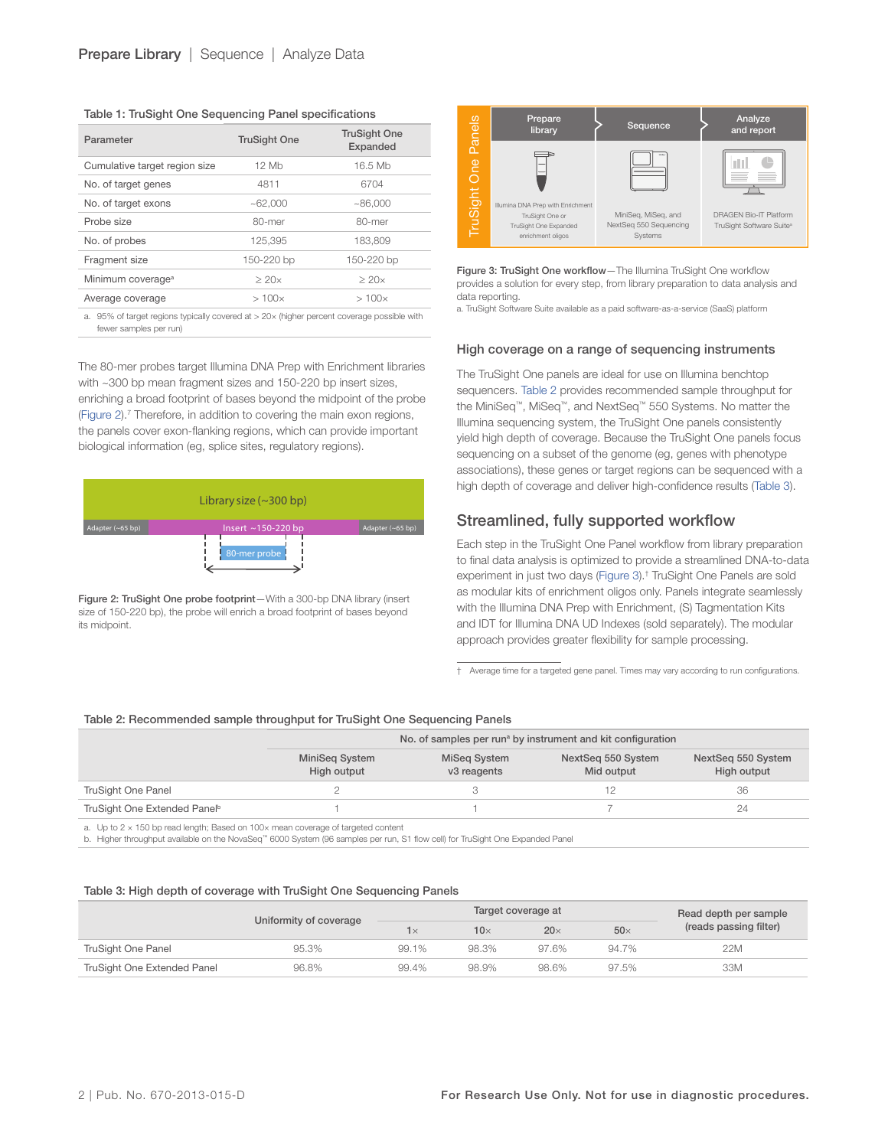<span id="page-1-0"></span>

| Table 1: TruSight One Sequencing Panel specifications |  |  |  |  |  |  |
|-------------------------------------------------------|--|--|--|--|--|--|
|-------------------------------------------------------|--|--|--|--|--|--|

| Parameter                     | <b>TruSight One</b> | <b>TruSight One</b><br>Expanded |
|-------------------------------|---------------------|---------------------------------|
| Cumulative target region size | 12 Mb               | 16.5 Mb                         |
| No. of target genes           | 4811                | 6704                            |
| No. of target exons           | ~1000               | ~1000                           |
| Probe size                    | 80-mer              | 80-mer                          |
| No. of probes                 | 125.395             | 183.809                         |
| Fragment size                 | 150-220 bp          | 150-220 bp                      |
| Minimum coverage <sup>a</sup> | $\geq$ 20 $\times$  | $\geq$ 20 $\times$              |
| Average coverage              | $>100\times$        | $>100\times$                    |

a. 95% of target regions typically covered at > 20× (higher percent coverage possible with fewer samples per run)

The 80-mer probes target Illumina DNA Prep with Enrichment libraries with ~300 bp mean fragment sizes and 150-220 bp insert sizes, enriching a broad footprint of bases beyond the midpoint of the probe (Figure  $2$ ).<sup>[7](#page-3-6)</sup> Therefore, in addition to covering the main exon regions, the panels cover exon-flanking regions, which can provide important biological information (eg, splice sites, regulatory regions).



Figure 2: TruSight One probe footprint-With a 300-bp DNA library (insert size of 150-220 bp), the probe will enrich a broad footprint of bases beyond its midpoint.



Figure 3: TruSight One workflow—The Illumina TruSight One workflow provides a solution for every step, from library preparation to data analysis and data reporting.

a. TruSight Software Suite available as a paid software-as-a-service (SaaS) platform

#### High coverage on a range of sequencing instruments

The TruSight One panels are ideal for use on Illumina benchtop sequencers. Table 2 provides recommended sample throughput for the MiniSeq™, MiSeq™, and NextSeq™ 550 Systems. No matter the Illumina sequencing system, the TruSight One panels consistently yield high depth of coverage. Because the TruSight One panels focus sequencing on a subset of the genome (eg, genes with phenotype associations), these genes or target regions can be sequenced with a high depth of coverage and deliver high-confidence results (Table 3).

## Streamlined, fully supported workflow

Each step in the TruSight One Panel workflow from library preparation to final data analysis is optimized to provide a streamlined DNA-to-data experiment in just two days (Figure 3).† TruSight One Panels are sold as modular kits of enrichment oligos only. Panels integrate seamlessly with the Illumina DNA Prep with Enrichment, (S) Tagmentation Kits and IDT for Illumina DNA UD Indexes (sold separately). The modular approach provides greater flexibility for sample processing.

† Average time for a targeted gene panel. Times may vary according to run configurations.

#### Table 2: Recommended sample throughput for TruSight One Sequencing Panels

|                                          | No. of samples per run <sup>a</sup> by instrument and kit configuration |                             |                                  |                                   |  |
|------------------------------------------|-------------------------------------------------------------------------|-----------------------------|----------------------------------|-----------------------------------|--|
|                                          | MiniSeg System<br>High output                                           | MiSeg System<br>v3 reagents | NextSeg 550 System<br>Mid output | NextSeg 550 System<br>High output |  |
| TruSight One Panel                       |                                                                         |                             |                                  | 36                                |  |
| TruSight One Extended Panel <sup>b</sup> |                                                                         |                             |                                  | 24                                |  |

a. Up to 2 × 150 bp read length; Based on 100× mean coverage of targeted content

b. Higher throughput available on the NovaSeq™ 6000 System (96 samples per run, S1 flow cell) for TruSight One Expanded Panel

#### Table 3: High depth of coverage with TruSight One Sequencing Panels

|                             |                        | Target coverage at |             |            | Read depth per sample |                        |
|-----------------------------|------------------------|--------------------|-------------|------------|-----------------------|------------------------|
|                             | Uniformity of coverage | $1\times$          | 10 $\times$ | $20\times$ | $50\times$            | (reads passing filter) |
| TruSight One Panel          | 95.3%                  | 99.1%              | 98.3%       | 97.6%      | 94.7%                 | 22M                    |
| TruSight One Extended Panel | 96.8%                  | 99.4%              | 98.9%       | 98.6%      | 97.5%                 | 33M                    |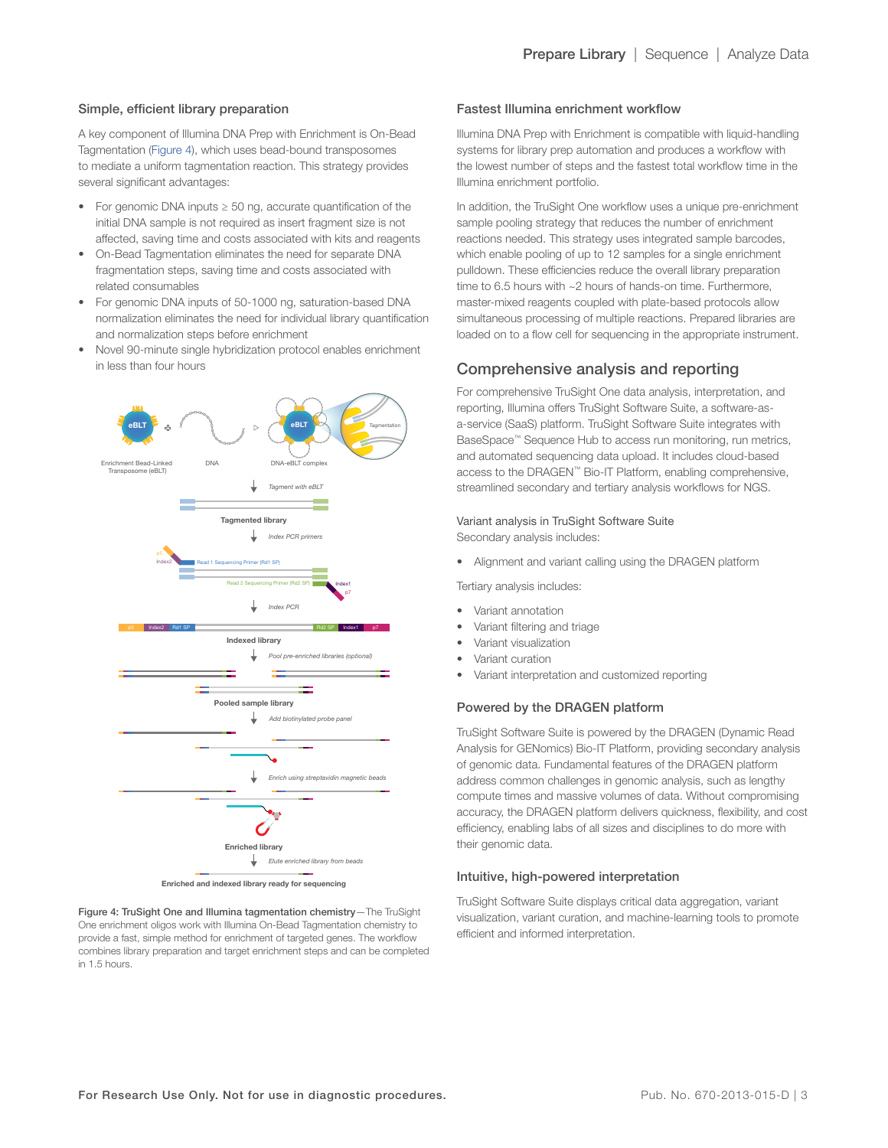#### Simple, efficient library preparation

A key component of Illumina DNA Prep with Enrichment is On-Bead Tagmentation (Figure 4), which uses bead-bound transposomes to mediate a uniform tagmentation reaction. This strategy provides several significant advantages:

- For genomic DNA inputs ≥ 50 ng, accurate quantification of the initial DNA sample is not required as insert fragment size is not affected, saving time and costs associated with kits and reagents
- On-Bead Tagmentation eliminates the need for separate DNA fragmentation steps, saving time and costs associated with related consumables
- For genomic DNA inputs of 50-1000 ng, saturation-based DNA normalization eliminates the need for individual library quantification and normalization steps before enrichment
- Novel 90-minute single hybridization protocol enables enrichment in less than four hours



Figure 4: TruSight One and Illumina tagmentation chemistry—The TruSight One enrichment oligos work with Illumina On-Bead Tagmentation chemistry to provide a fast, simple method for enrichment of targeted genes. The workflow combines library preparation and target enrichment steps and can be completed in 1.5 hours.

#### Fastest Illumina enrichment workflow

Illumina DNA Prep with Enrichment is compatible with liquid-handling systems for library prep automation and produces a workflow with the lowest number of steps and the fastest total workflow time in the Illumina enrichment portfolio.

In addition, the TruSight One workflow uses a unique pre-enrichment sample pooling strategy that reduces the number of enrichment reactions needed. This strategy uses integrated sample barcodes, which enable pooling of up to 12 samples for a single enrichment pulldown. These efficiencies reduce the overall library preparation time to 6.5 hours with ~2 hours of hands-on time. Furthermore, master-mixed reagents coupled with plate-based protocols allow simultaneous processing of multiple reactions. Prepared libraries are loaded on to a flow cell for sequencing in the appropriate instrument.

## Comprehensive analysis and reporting

For comprehensive TruSight One data analysis, interpretation, and reporting, Illumina offers TruSight Software Suite, a software-asa-service (SaaS) platform. TruSight Software Suite integrates with BaseSpace™ Sequence Hub to access run monitoring, run metrics, and automated sequencing data upload. It includes cloud-based access to the DRAGEN™ Bio-IT Platform, enabling comprehensive, streamlined secondary and tertiary analysis workflows for NGS.

#### Variant analysis in TruSight Software Suite

Secondary analysis includes:

• Alignment and variant calling using the DRAGEN platform

Tertiary analysis includes:

- Variant annotation
- Variant filtering and triage
- Variant visualization
- Variant curation
- Variant interpretation and customized reporting

#### Powered by the DRAGEN platform

TruSight Software Suite is powered by the DRAGEN (Dynamic Read Analysis for GENomics) Bio-IT Platform, providing secondary analysis of genomic data. Fundamental features of the DRAGEN platform address common challenges in genomic analysis, such as lengthy compute times and massive volumes of data. Without compromising accuracy, the DRAGEN platform delivers quickness, flexibility, and cost efficiency, enabling labs of all sizes and disciplines to do more with their genomic data.

#### Intuitive, high-powered interpretation

TruSight Software Suite displays critical data aggregation, variant visualization, variant curation, and machine-learning tools to promote efficient and informed interpretation.